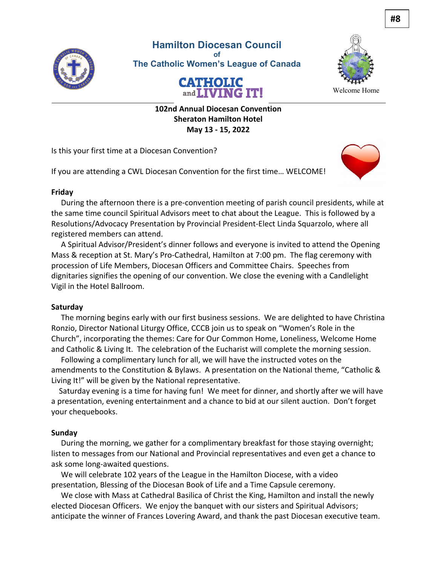

**Hamilton Diocesan Council of The Catholic Women's League of Canada**





Welcome Home

**102nd Annual Diocesan Convention Sheraton Hamilton Hotel May 13 - 15, 2022**

Is this your first time at a Diocesan Convention?

If you are attending a CWL Diocesan Convention for the first time… WELCOME!



### **Friday**

 During the afternoon there is a pre-convention meeting of parish council presidents, while at the same time council Spiritual Advisors meet to chat about the League. This is followed by a Resolutions/Advocacy Presentation by Provincial President-Elect Linda Squarzolo, where all registered members can attend.

 A Spiritual Advisor/President's dinner follows and everyone is invited to attend the Opening Mass & reception at St. Mary's Pro-Cathedral, Hamilton at 7:00 pm. The flag ceremony with procession of Life Members, Diocesan Officers and Committee Chairs. Speeches from dignitaries signifies the opening of our convention. We close the evening with a Candlelight Vigil in the Hotel Ballroom.

### **Saturday**

 The morning begins early with our first business sessions. We are delighted to have Christina Ronzio, Director National Liturgy Office, CCCB join us to speak on "Women's Role in the Church", incorporating the themes: Care for Our Common Home, Loneliness, Welcome Home and Catholic & Living It. The celebration of the Eucharist will complete the morning session.

 Following a complimentary lunch for all, we will have the instructed votes on the amendments to the Constitution & Bylaws. A presentation on the National theme, "Catholic & Living It!" will be given by the National representative.

 Saturday evening is a time for having fun! We meet for dinner, and shortly after we will have a presentation, evening entertainment and a chance to bid at our silent auction. Don't forget your chequebooks.

#### **Sunday**

 During the morning, we gather for a complimentary breakfast for those staying overnight; listen to messages from our National and Provincial representatives and even get a chance to ask some long-awaited questions.

 We will celebrate 102 years of the League in the Hamilton Diocese, with a video presentation, Blessing of the Diocesan Book of Life and a Time Capsule ceremony.

 We close with Mass at Cathedral Basilica of Christ the King, Hamilton and install the newly elected Diocesan Officers. We enjoy the banquet with our sisters and Spiritual Advisors; anticipate the winner of Frances Lovering Award, and thank the past Diocesan executive team.